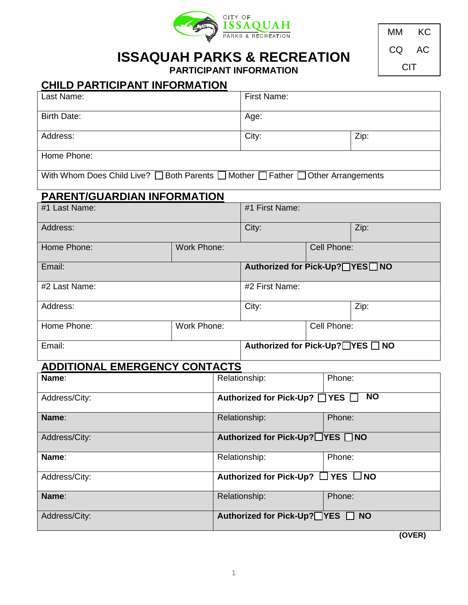

**ISSAQUAH PARKS & RECREATION**

MM KC CQ AC **CIT** 

|  | <b>PARTICIPANT INFORMATION</b> |
|--|--------------------------------|
|--|--------------------------------|

# **CHILD PARTICIPANT INFORMATION**

| Last Name:                                                                       |                    | <b>First Name:</b>               |                                                    |             |      |  |
|----------------------------------------------------------------------------------|--------------------|----------------------------------|----------------------------------------------------|-------------|------|--|
| <b>Birth Date:</b>                                                               |                    |                                  | Age:                                               |             |      |  |
| Address:                                                                         |                    |                                  | City:                                              |             | Zip: |  |
| Home Phone:                                                                      |                    |                                  |                                                    |             |      |  |
| With Whom Does Child Live? □ Both Parents □ Mother □ Father □ Other Arrangements |                    |                                  |                                                    |             |      |  |
| <b>PARENT/GUARDIAN INFORMATION</b>                                               |                    |                                  |                                                    |             |      |  |
| #1 Last Name:                                                                    |                    | #1 First Name:                   |                                                    |             |      |  |
| Address:                                                                         |                    | City:                            |                                                    | Zip:        |      |  |
| Home Phone:                                                                      | <b>Work Phone:</b> |                                  |                                                    | Cell Phone: |      |  |
| Email:                                                                           |                    | Authorized for Pick-Up?□YES□ NO  |                                                    |             |      |  |
| #2 Last Name:                                                                    |                    | #2 First Name:                   |                                                    |             |      |  |
| Address:                                                                         |                    |                                  | City:                                              |             | Zip: |  |
| Home Phone:                                                                      | Work Phone:        |                                  |                                                    | Cell Phone: |      |  |
| Email:                                                                           |                    |                                  | Authorized for Pick-Up? TYES INO                   |             |      |  |
| <b>ADDITIONAL EMERGENCY CONTACTS</b>                                             |                    |                                  |                                                    |             |      |  |
| Name:                                                                            |                    |                                  | Relationship:                                      | Phone:      |      |  |
| Address/City:                                                                    |                    |                                  | N <sub>O</sub><br>Authorized for Pick-Up? □ YES □  |             |      |  |
| Name:                                                                            |                    | Relationship:                    | Phone:                                             |             |      |  |
| Address/City:                                                                    |                    | Authorized for Pick-Up?□YES □ NO |                                                    |             |      |  |
| Name:                                                                            |                    |                                  | Relationship:                                      | Phone:      |      |  |
| Address/City:                                                                    |                    |                                  | <b>Authorized for Pick-Up?</b><br>YES $\square$ NO |             |      |  |
| Name:                                                                            |                    |                                  | Relationship:<br>Phone:                            |             |      |  |
| Address/City:                                                                    |                    | Authorized for Pick-Up?□YES □ NO |                                                    |             |      |  |

**(OVER)**